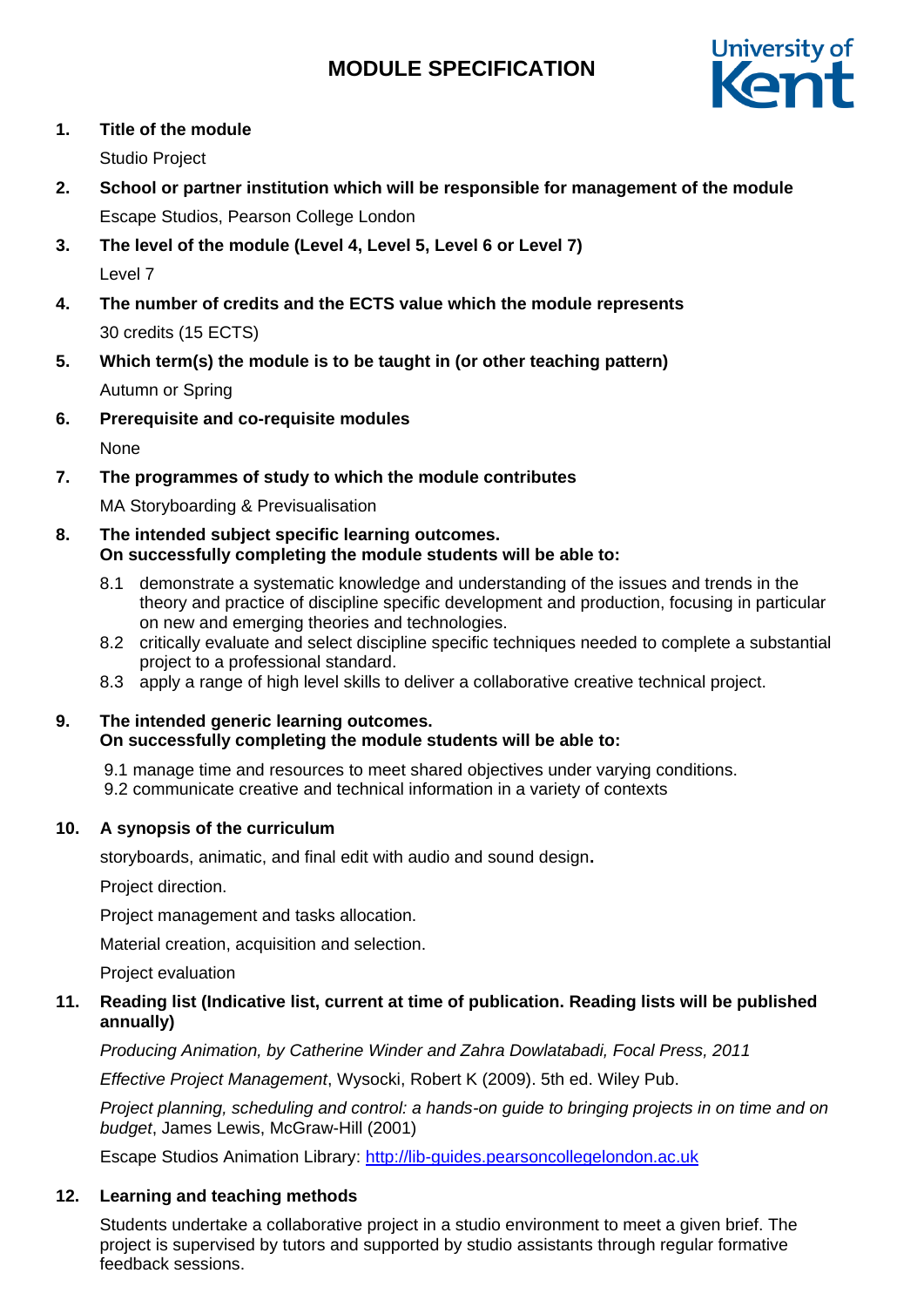# **MODULE SPECIFICATION**



## **1. Title of the module**

Studio Project

- **2. School or partner institution which will be responsible for management of the module** Escape Studios, Pearson College London
- **3. The level of the module (Level 4, Level 5, Level 6 or Level 7)** Level 7
- **4. The number of credits and the ECTS value which the module represents** 30 credits (15 ECTS)
- **5. Which term(s) the module is to be taught in (or other teaching pattern)** Autumn or Spring
- **6. Prerequisite and co-requisite modules**

None

**7. The programmes of study to which the module contributes**

MA Storyboarding & Previsualisation

## **8. The intended subject specific learning outcomes. On successfully completing the module students will be able to:**

- 8.1 demonstrate a systematic knowledge and understanding of the issues and trends in the theory and practice of discipline specific development and production, focusing in particular on new and emerging theories and technologies.
- 8.2 critically evaluate and select discipline specific techniques needed to complete a substantial project to a professional standard.
- 8.3 apply a range of high level skills to deliver a collaborative creative technical project.

## **9. The intended generic learning outcomes. On successfully completing the module students will be able to:**

9.1 manage time and resources to meet shared objectives under varying conditions.

9.2 communicate creative and technical information in a variety of contexts

## **10. A synopsis of the curriculum**

storyboards, animatic, and final edit with audio and sound design**.**

Project direction.

Project management and tasks allocation.

Material creation, acquisition and selection.

Project evaluation

## **11. Reading list (Indicative list, current at time of publication. Reading lists will be published annually)**

*Producing Animation, by Catherine Winder and Zahra Dowlatabadi, Focal Press, 2011* 

*Effective Project Management*, Wysocki, Robert K (2009). 5th ed. Wiley Pub.

*Project planning, scheduling and control: a hands-on guide to bringing projects in on time and on budget*, James Lewis, McGraw-Hill (2001)

Escape Studios Animation Library: [http://lib-guides.pearsoncollegelondon.ac.uk](https://urldefense.proofpoint.com/v2/url?u=http-3A__lib-2Dguides.pearsoncollegelondon.ac.uk&d=DwMFaQ&c=0YLnzTkWOdJlub_y7qAx8Q&r=SpDSvozb703YwkXZ2yDQYI1lZ4AMWS_xY3tIzXhDKRM&m=Wo7EOP_-8zVCHZXwF_I5sDe9ZB-grFmVDA3TdcQblIY&s=WU9Q4fPopBQT9LD44xKhkKjXmHBxHntpfyVFWcTzTk8&e)

## **12. Learning and teaching methods**

Students undertake a collaborative project in a studio environment to meet a given brief. The project is supervised by tutors and supported by studio assistants through regular formative feedback sessions.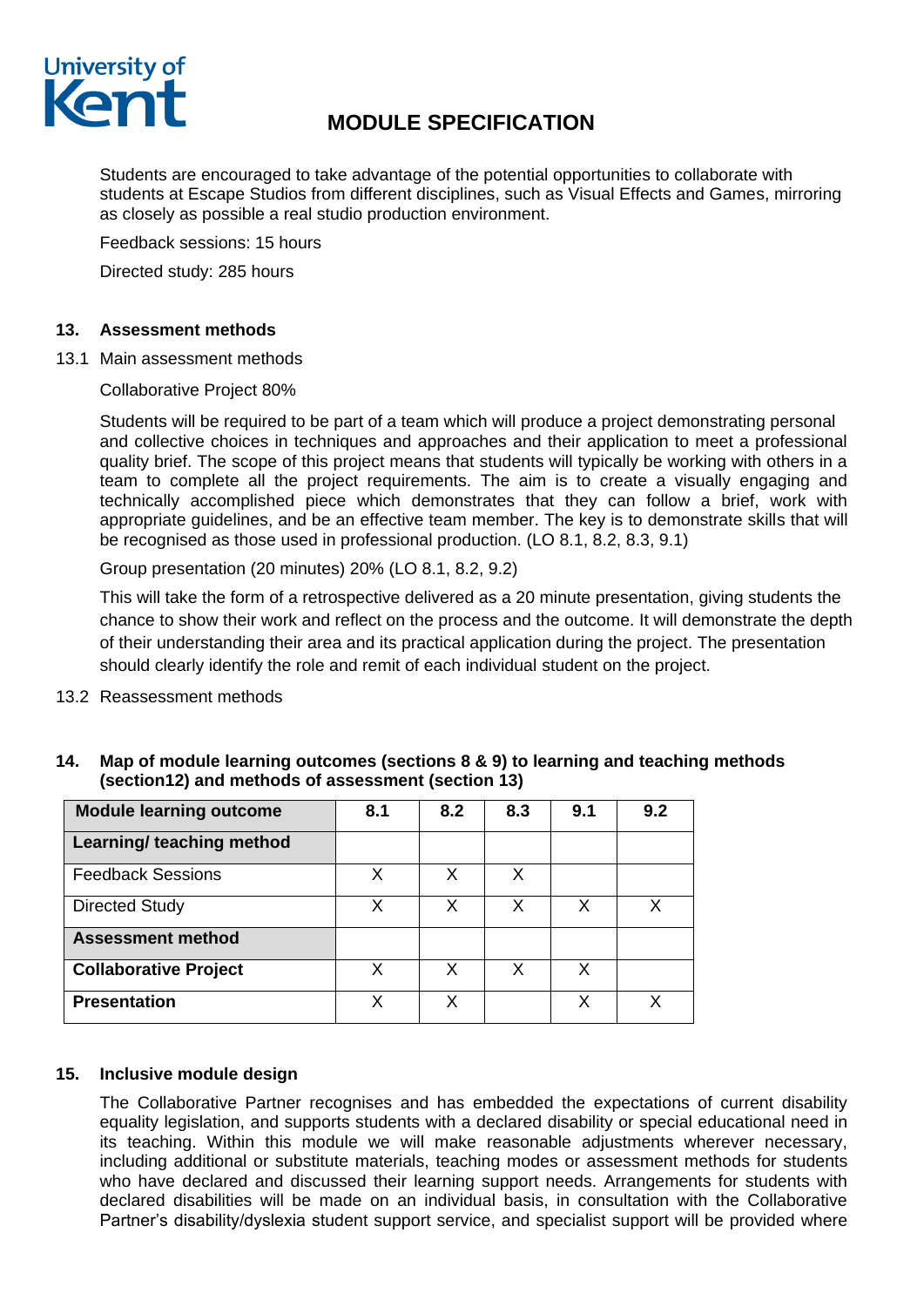

## **MODULE SPECIFICATION**

Students are encouraged to take advantage of the potential opportunities to collaborate with students at Escape Studios from different disciplines, such as Visual Effects and Games, mirroring as closely as possible a real studio production environment.

Feedback sessions: 15 hours Directed study: 285 hours

## **13. Assessment methods**

13.1 Main assessment methods

Collaborative Project 80%

Students will be required to be part of a team which will produce a project demonstrating personal and collective choices in techniques and approaches and their application to meet a professional quality brief. The scope of this project means that students will typically be working with others in a team to complete all the project requirements. The aim is to create a visually engaging and technically accomplished piece which demonstrates that they can follow a brief, work with appropriate guidelines, and be an effective team member. The key is to demonstrate skills that will be recognised as those used in professional production. (LO 8.1, 8.2, 8.3, 9.1)

Group presentation (20 minutes) 20% (LO 8.1, 8.2, 9.2)

This will take the form of a retrospective delivered as a 20 minute presentation, giving students the chance to show their work and reflect on the process and the outcome. It will demonstrate the depth of their understanding their area and its practical application during the project. The presentation should clearly identify the role and remit of each individual student on the project.

13.2 Reassessment methods

| <b>Module learning outcome</b> | 8.1 | 8.2 | 8.3 | 9.1 | 9.2 |
|--------------------------------|-----|-----|-----|-----|-----|
| Learning/ teaching method      |     |     |     |     |     |
| <b>Feedback Sessions</b>       | x   | X   | X   |     |     |
| <b>Directed Study</b>          | X   | X   | x   | x   | x   |
| <b>Assessment method</b>       |     |     |     |     |     |
| <b>Collaborative Project</b>   | X   | X   | x   | X   |     |
| <b>Presentation</b>            | x   | x   |     | х   | x   |

**14. Map of module learning outcomes (sections 8 & 9) to learning and teaching methods (section12) and methods of assessment (section 13)**

### **15. Inclusive module design**

The Collaborative Partner recognises and has embedded the expectations of current disability equality legislation, and supports students with a declared disability or special educational need in its teaching. Within this module we will make reasonable adjustments wherever necessary, including additional or substitute materials, teaching modes or assessment methods for students who have declared and discussed their learning support needs. Arrangements for students with declared disabilities will be made on an individual basis, in consultation with the Collaborative Partner's disability/dyslexia student support service, and specialist support will be provided where